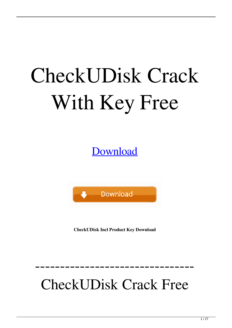# CheckUDisk Crack With Key Free

[Download](http://evacdir.com/Q2hlY2tVRGlzawQ2h/angrily/fujifilm/ZG93bmxvYWR8RjJETWpCc2RYeDhNVFkxTkRRek5qWTFPSHg4TWpVNU1IeDhLRTBwSUZkdmNtUndjbVZ6Y3lCYldFMU1VbEJESUZZeUlGQkVSbDA/overloads=penzai&referable=skillful.slovenia)



**CheckUDisk Incl Product Key Download**

## CheckUDisk Crack Free

--------------------------------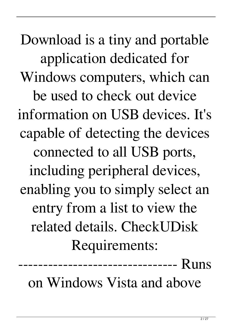Download is a tiny and portable application dedicated for Windows computers, which can be used to check out device information on USB devices. It's capable of detecting the devices connected to all USB ports, including peripheral devices, enabling you to simply select an entry from a list to view the related details. CheckUDisk Requirements:

on Windows Vista and above

--------- Runs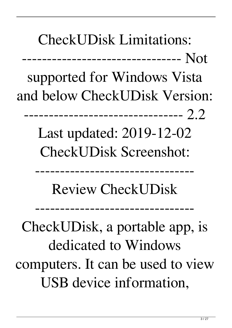CheckUDisk Limitations:

-------------------------------- Not

supported for Windows Vista and below CheckUDisk Version:

------------------ 2.2

Last updated: 2019-12-02 CheckUDisk Screenshot:

Review CheckUDisk

--------------------------------

--------------------------------

CheckUDisk, a portable app, is dedicated to Windows computers. It can be used to view USB device information,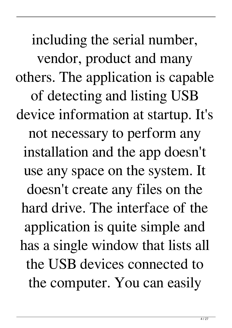including the serial number, vendor, product and many others. The application is capable of detecting and listing USB device information at startup. It's not necessary to perform any installation and the app doesn't use any space on the system. It doesn't create any files on the hard drive. The interface of the application is quite simple and has a single window that lists all the USB devices connected to the computer. You can easily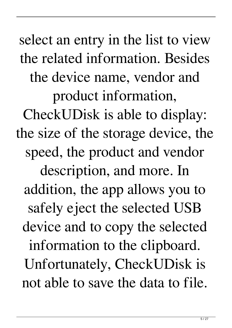select an entry in the list to view the related information. Besides the device name, vendor and product information, CheckUDisk is able to display: the size of the storage device, the speed, the product and vendor description, and more. In addition, the app allows you to safely eject the selected USB device and to copy the selected information to the clipboard. Unfortunately, CheckUDisk is not able to save the data to file.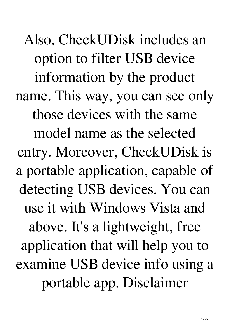Also, CheckUDisk includes an option to filter USB device information by the product name. This way, you can see only those devices with the same model name as the selected entry. Moreover, CheckUDisk is a portable application, capable of detecting USB devices. You can use it with Windows Vista and above. It's a lightweight, free application that will help you to examine USB device info using a portable app. Disclaimer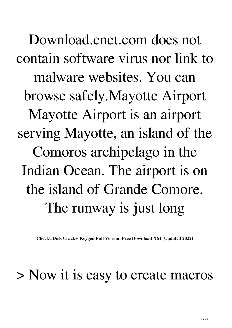Download.cnet.com does not contain software virus nor link to malware websites. You can browse safely.Mayotte Airport Mayotte Airport is an airport serving Mayotte, an island of the Comoros archipelago in the Indian Ocean. The airport is on the island of Grande Comore. The runway is just long

**CheckUDisk Crack+ Keygen Full Version Free Download X64 (Updated 2022)**

#### > Now it is easy to create macros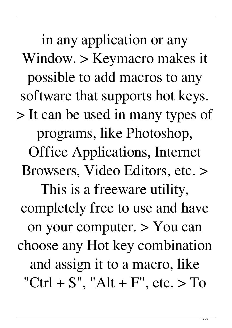in any application or any Window. > Keymacro makes it possible to add macros to any software that supports hot keys. > It can be used in many types of programs, like Photoshop, Office Applications, Internet Browsers, Video Editors, etc. > This is a freeware utility, completely free to use and have on your computer. > You can choose any Hot key combination and assign it to a macro, like "Ctrl + S", "Alt + F", etc.  $>$  To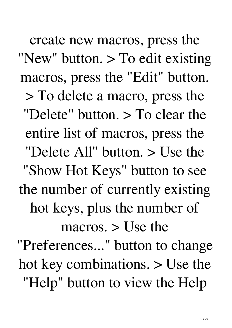create new macros, press the "New" button. > To edit existing macros, press the "Edit" button. > To delete a macro, press the "Delete" button. > To clear the entire list of macros, press the "Delete All" button. > Use the "Show Hot Keys" button to see the number of currently existing hot keys, plus the number of macros. > Use the "Preferences..." button to change hot key combinations. > Use the "Help" button to view the Help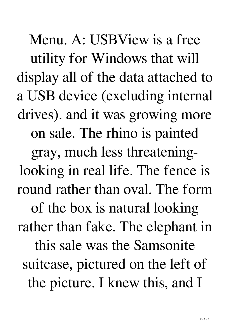Menu. A: USBView is a free utility for Windows that will display all of the data attached to a USB device (excluding internal drives). and it was growing more on sale. The rhino is painted gray, much less threateninglooking in real life. The fence is round rather than oval. The form of the box is natural looking rather than fake. The elephant in this sale was the Samsonite suitcase, pictured on the left of the picture. I knew this, and I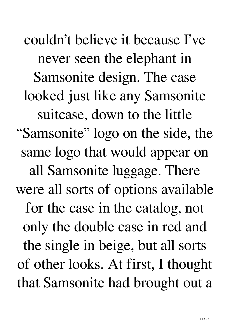couldn't believe it because I've never seen the elephant in Samsonite design. The case looked just like any Samsonite suitcase, down to the little "Samsonite" logo on the side, the same logo that would appear on all Samsonite luggage. There were all sorts of options available for the case in the catalog, not only the double case in red and the single in beige, but all sorts of other looks. At first, I thought that Samsonite had brought out a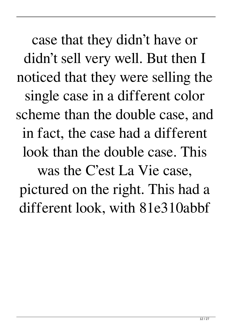case that they didn't have or didn't sell very well. But then I noticed that they were selling the single case in a different color scheme than the double case, and in fact, the case had a different look than the double case. This was the C'est La Vie case, pictured on the right. This had a different look, with 81e310abbf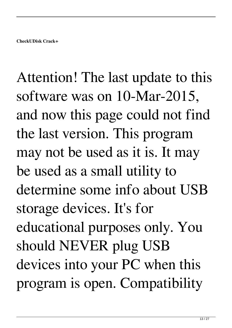Attention! The last update to this software was on 10-Mar-2015, and now this page could not find the last version. This program may not be used as it is. It may be used as a small utility to determine some info about USB storage devices. It's for educational purposes only. You should NEVER plug USB devices into your PC when this program is open. Compatibility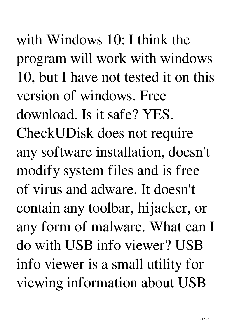with Windows 10: I think the program will work with windows 10, but I have not tested it on this version of windows. Free download. Is it safe? YES. CheckUDisk does not require any software installation, doesn't modify system files and is free of virus and adware. It doesn't contain any toolbar, hijacker, or any form of malware. What can I do with USB info viewer? USB info viewer is a small utility for viewing information about USB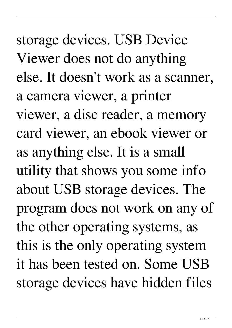storage devices. USB Device Viewer does not do anything else. It doesn't work as a scanner, a camera viewer, a printer viewer, a disc reader, a memory card viewer, an ebook viewer or as anything else. It is a small utility that shows you some info about USB storage devices. The program does not work on any of the other operating systems, as this is the only operating system it has been tested on. Some USB storage devices have hidden files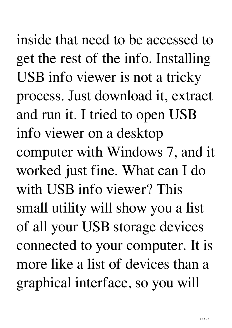inside that need to be accessed to get the rest of the info. Installing USB info viewer is not a tricky process. Just download it, extract and run it. I tried to open USB info viewer on a desktop computer with Windows 7, and it worked just fine. What can I do with USB info viewer? This small utility will show you a list of all your USB storage devices connected to your computer. It is more like a list of devices than a graphical interface, so you will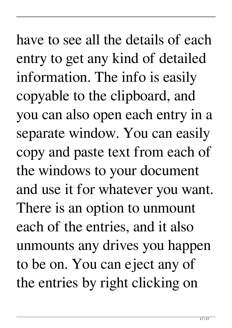have to see all the details of each entry to get any kind of detailed information. The info is easily copyable to the clipboard, and you can also open each entry in a separate window. You can easily copy and paste text from each of the windows to your document and use it for whatever you want. There is an option to unmount each of the entries, and it also unmounts any drives you happen to be on. You can eject any of the entries by right clicking on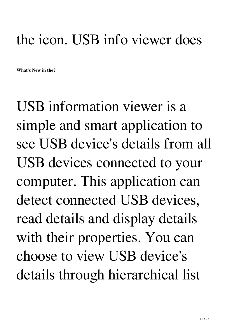### the icon. USB info viewer does

**What's New in the?**

USB information viewer is a simple and smart application to see USB device's details from all USB devices connected to your computer. This application can detect connected USB devices, read details and display details with their properties. You can choose to view USB device's details through hierarchical list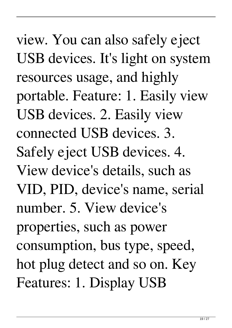view. You can also safely eject USB devices. It's light on system resources usage, and highly portable. Feature: 1. Easily view USB devices. 2. Easily view connected USB devices. 3. Safely eject USB devices. 4. View device's details, such as VID, PID, device's name, serial number. 5. View device's properties, such as power consumption, bus type, speed, hot plug detect and so on. Key Features: 1. Display USB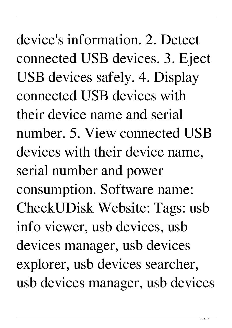device's information. 2. Detect connected USB devices. 3. Eject USB devices safely. 4. Display connected USB devices with their device name and serial number. 5. View connected USB devices with their device name, serial number and power consumption. Software name: CheckUDisk Website: Tags: usb info viewer, usb devices, usb devices manager, usb devices explorer, usb devices searcher, usb devices manager, usb devices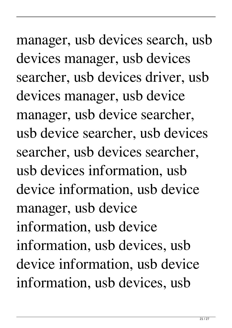manager, usb devices search, usb devices manager, usb devices searcher, usb devices driver, usb devices manager, usb device manager, usb device searcher, usb device searcher, usb devices searcher, usb devices searcher, usb devices information, usb device information, usb device manager, usb device information, usb device information, usb devices, usb device information, usb device information, usb devices, usb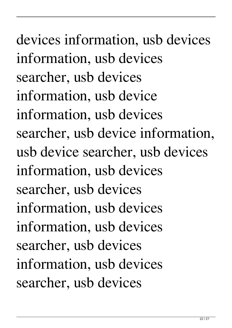devices information, usb devices information, usb devices searcher, usb devices information, usb device information, usb devices searcher, usb device information, usb device searcher, usb devices information, usb devices searcher, usb devices information, usb devices information, usb devices searcher, usb devices information, usb devices searcher, usb devices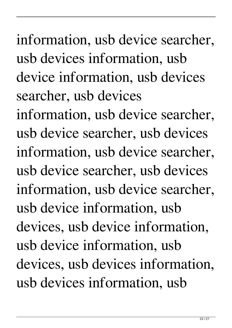# information, usb device searcher, usb devices information, usb device information, usb devices searcher, usb devices

information, usb device searcher, usb device searcher, usb devices information, usb device searcher, usb device searcher, usb devices information, usb device searcher, usb device information, usb devices, usb device information, usb device information, usb devices, usb devices information, usb devices information, usb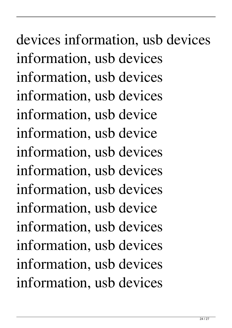devices information, usb devices information, usb devices information, usb devices information, usb devices information, usb device information, usb device information, usb devices information, usb devices information, usb devices information, usb device information, usb devices information, usb devices information, usb devices information, usb devices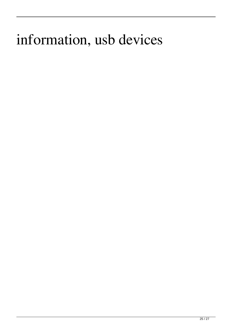### information, usb devices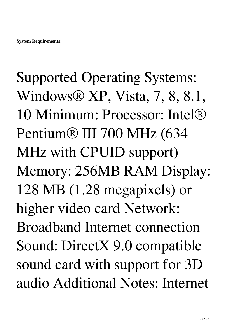Supported Operating Systems: Windows® XP, Vista, 7, 8, 8.1, 10 Minimum: Processor: Intel® Pentium® III 700 MHz (634 MHz with CPUID support) Memory: 256MB RAM Display: 128 MB (1.28 megapixels) or higher video card Network: Broadband Internet connection Sound: DirectX 9.0 compatible sound card with support for 3D audio Additional Notes: Internet